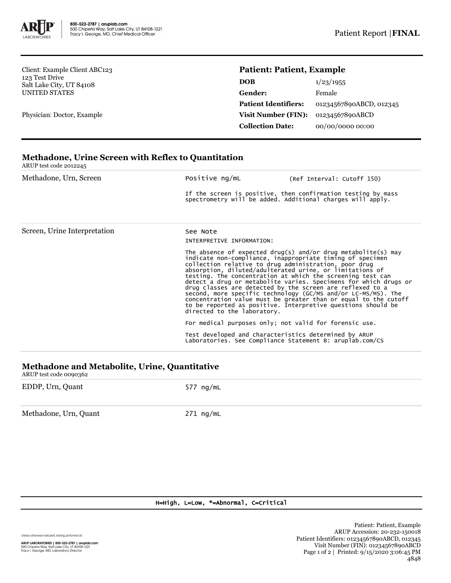

Client: Example Client ABC123 123 Test Drive Salt Lake City, UT 84108 UNITED STATES

Physician: Doctor, Example

## **Patient: Patient, Example**

| <b>DOB</b>                  | 1/23/1955               |
|-----------------------------|-------------------------|
| Gender:                     | Female                  |
| <b>Patient Identifiers:</b> | 01234567890ABCD, 012345 |
| Visit Number (FIN):         | 01234567890ABCD         |
| <b>Collection Date:</b>     | 00/00/0000 00:00        |

# **Methadone, Urine Screen with Reflex to Quantitation**

ARUP test code 2012245

| Methadone, Urn, Screen       | Positive ng/mL                                                                                                             | (Ref Interval: Cutoff 150)                                                                                                                                                                                                                                                                                                                                                                                                                                                                                                                                                                                                                         |  |  |
|------------------------------|----------------------------------------------------------------------------------------------------------------------------|----------------------------------------------------------------------------------------------------------------------------------------------------------------------------------------------------------------------------------------------------------------------------------------------------------------------------------------------------------------------------------------------------------------------------------------------------------------------------------------------------------------------------------------------------------------------------------------------------------------------------------------------------|--|--|
|                              | If the screen is positive, then confirmation testing by mass<br>spectrometry will be added. Additional charges will apply. |                                                                                                                                                                                                                                                                                                                                                                                                                                                                                                                                                                                                                                                    |  |  |
| Screen, Urine Interpretation | See Note<br>INTERPRETIVE INFORMATION:                                                                                      |                                                                                                                                                                                                                                                                                                                                                                                                                                                                                                                                                                                                                                                    |  |  |
|                              | directed to the laboratory.                                                                                                | The absence of expected drug(s) and/or drug metabolite(s) may<br>indicate non-compliance, inappropriate timing of specimen<br>collection relative to drug administration, poor drug<br>absorption, diluted/adulterated urine, or limitations of<br>testing. The concentration at which the screening test can<br>detect a drug or metabolite varies. Specimens for which drugs or<br>drug classes are detected by the screen are reflexed to a<br>second, more specific technology (GC/MS and/or LC-MS/MS). The<br>concentration value must be greater than or equal to the cutoff<br>to be reported as positive. Interpretive questions should be |  |  |
|                              |                                                                                                                            | For medical purposes only; not valid for forensic use.                                                                                                                                                                                                                                                                                                                                                                                                                                                                                                                                                                                             |  |  |
|                              |                                                                                                                            | Test developed and characteristics determined by ARUP<br>Laboratories. See Compliance Statement B: aruplab.com/CS                                                                                                                                                                                                                                                                                                                                                                                                                                                                                                                                  |  |  |
|                              |                                                                                                                            |                                                                                                                                                                                                                                                                                                                                                                                                                                                                                                                                                                                                                                                    |  |  |

#### **Methadone and Metabolite, Urine, Quantitative** ARUP test code 0090362

| ANUE LEST COUL OUYU,302 |             |
|-------------------------|-------------|
| EDDP, Urn, Quant        | 577 ng/mL   |
| Methadone, Urn, Quant   | $271$ ng/mL |

### H=High, L=Low, \*=Abnormal, C=Critical

Unless otherwise indicated, testing performed at: